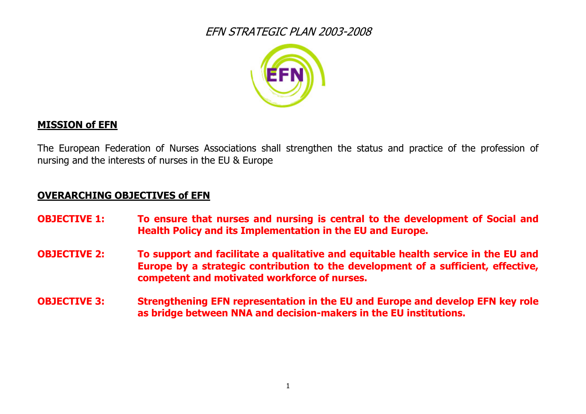

#### **MISSION of EFN**

The European Federation of Nurses Associations shall strengthen the status and practice of the profession of nursing and the interests of nurses in the EU & Europe

#### **OVERARCHING OBJECTIVES of EFN**

- **OBJECTIVE 1: To ensure that nurses and nursing is central to the development of Social and Health Policy and its Implementation in the EU and Europe.**
- **OBJECTIVE 2: To support and facilitate a qualitative and equitable health service in the EU and Europe by a strategic contribution to the development of a sufficient, effective, competent and motivated workforce of nurses.**
- **OBJECTIVE 3: Strengthening EFN representation in the EU and Europe and develop EFN key role as bridge between NNA and decision-makers in the EU institutions.**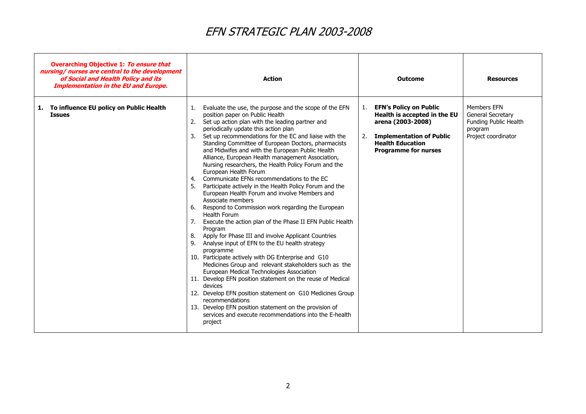| <b>Overarching Objective 1: To ensure that</b><br>nursing/ nurses are central to the development<br>of Social and Health Policy and its<br><b>Implementation in the EU and Europe.</b> | <b>Action</b>                                                                                                                                                                                                                                                                                                                                                                                                                                                                                                                                                                                                                                                                                                                                                                                                                                                                                                                                                                                                                                                                                                                                                                                                                                                                                                                                                                                                                 | <b>Outcome</b>                                                                                                                                                                              | <b>Resources</b>                                                                            |
|----------------------------------------------------------------------------------------------------------------------------------------------------------------------------------------|-------------------------------------------------------------------------------------------------------------------------------------------------------------------------------------------------------------------------------------------------------------------------------------------------------------------------------------------------------------------------------------------------------------------------------------------------------------------------------------------------------------------------------------------------------------------------------------------------------------------------------------------------------------------------------------------------------------------------------------------------------------------------------------------------------------------------------------------------------------------------------------------------------------------------------------------------------------------------------------------------------------------------------------------------------------------------------------------------------------------------------------------------------------------------------------------------------------------------------------------------------------------------------------------------------------------------------------------------------------------------------------------------------------------------------|---------------------------------------------------------------------------------------------------------------------------------------------------------------------------------------------|---------------------------------------------------------------------------------------------|
| 1. To influence EU policy on Public Health<br><b>Issues</b>                                                                                                                            | Evaluate the use, the purpose and the scope of the EFN<br>position paper on Public Health<br>2. Set up action plan with the leading partner and<br>periodically update this action plan<br>3. Set up recommendations for the EC and liaise with the<br>Standing Committee of European Doctors, pharmacists<br>and Midwifes and with the European Public Health<br>Alliance, European Health management Association,<br>Nursing researchers, the Health Policy Forum and the<br>European Health Forum<br>4. Communicate EFNs recommendations to the EC<br>5. Participate actively in the Health Policy Forum and the<br>European Health Forum and involve Members and<br>Associate members<br>6. Respond to Commission work regarding the European<br>Health Forum<br>7. Execute the action plan of the Phase II EFN Public Health<br>Program<br>8. Apply for Phase III and involve Applicant Countries<br>9. Analyse input of EFN to the EU health strategy<br>programme<br>10. Participate actively with DG Enterprise and G10<br>Medicines Group and relevant stakeholders such as the<br>European Medical Technologies Association<br>11. Develop EFN position statement on the reuse of Medical<br>devices<br>12. Develop EFN position statement on G10 Medicines Group<br>recommendations<br>13. Develop EFN position statement on the provision of<br>services and execute recommendations into the E-health<br>project | <b>EFN's Policy on Public</b><br>1.<br>Health is accepted in the EU<br>arena (2003-2008)<br><b>Implementation of Public</b><br>2.<br><b>Health Education</b><br><b>Programme for nurses</b> | Members EFN<br>General Secretary<br>Funding Public Health<br>program<br>Project coordinator |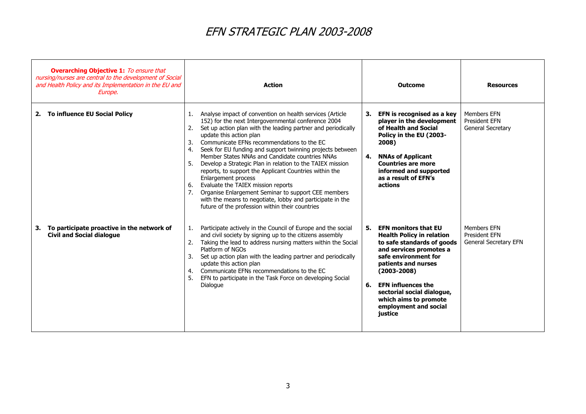| <b>Overarching Objective 1:</b> To ensure that<br>nursing/nurses are central to the development of Social<br>and Health Policy and its Implementation in the EU and<br>Europe. | <b>Action</b>                                                                                                                                                                                                                                                                                                                                                                                                                                                                                                                                                                                                                                                                                                                                                     | <b>Outcome</b>                                                                                                                                                                                                                                                                                                                 | <b>Resources</b>                                             |
|--------------------------------------------------------------------------------------------------------------------------------------------------------------------------------|-------------------------------------------------------------------------------------------------------------------------------------------------------------------------------------------------------------------------------------------------------------------------------------------------------------------------------------------------------------------------------------------------------------------------------------------------------------------------------------------------------------------------------------------------------------------------------------------------------------------------------------------------------------------------------------------------------------------------------------------------------------------|--------------------------------------------------------------------------------------------------------------------------------------------------------------------------------------------------------------------------------------------------------------------------------------------------------------------------------|--------------------------------------------------------------|
| To influence EU Social Policy<br>2.                                                                                                                                            | Analyse impact of convention on health services (Article<br>1.<br>152) for the next Intergovernmental conference 2004<br>Set up action plan with the leading partner and periodically<br>update this action plan<br>Communicate EFNs recommendations to the EC<br>3.<br>Seek for EU funding and support twinning projects between<br>4.<br>Member States NNAs and Candidate countries NNAs<br>Develop a Strategic Plan in relation to the TAIEX mission<br>reports, to support the Applicant Countries within the<br>Enlargement process<br>Evaluate the TAIEX mission reports<br>6.<br>Organise Enlargement Seminar to support CEE members<br>7.<br>with the means to negotiate, lobby and participate in the<br>future of the profession within their countries | EFN is recognised as a key<br>3.<br>player in the development<br>of Health and Social<br>Policy in the EU (2003-<br>2008)<br><b>NNAs of Applicant</b><br>4.<br><b>Countries are more</b><br>informed and supported<br>as a result of EFN's<br>actions                                                                          | <b>Members EFN</b><br>President EFN<br>General Secretary     |
| To participate proactive in the network of<br>3.<br><b>Civil and Social dialogue</b>                                                                                           | Participate actively in the Council of Europe and the social<br>1.<br>and civil society by signing up to the citizens assembly<br>Taking the lead to address nursing matters within the Social<br>2.<br>Platform of NGOs<br>Set up action plan with the leading partner and periodically<br>update this action plan<br>Communicate EFNs recommendations to the EC<br>4.<br>EFN to participate in the Task Force on developing Social<br>5.<br>Dialogue                                                                                                                                                                                                                                                                                                            | <b>EFN monitors that EU</b><br>5.<br><b>Health Policy in relation</b><br>to safe standards of goods<br>and services promotes a<br>safe environment for<br>patients and nurses<br>$(2003 - 2008)$<br><b>EFN</b> influences the<br>6.<br>sectorial social dialogue,<br>which aims to promote<br>employment and social<br>justice | <b>Members EFN</b><br>President EFN<br>General Secretary EFN |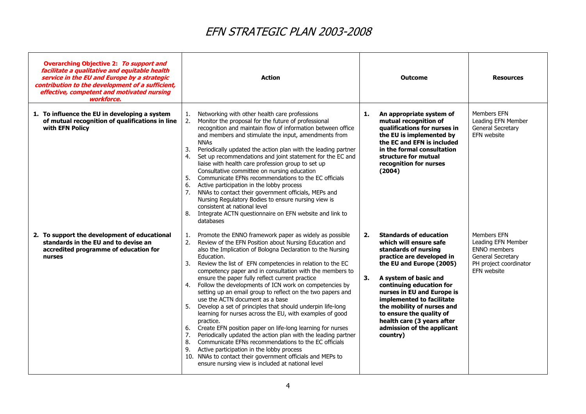| <b>Overarching Objective 2: To support and</b><br>facilitate a qualitative and equitable health<br>service in the EU and Europe by a strategic<br>contribution to the development of a sufficient,<br>effective, competent and motivated nursing<br>workforce. | <b>Action</b>                                                                                                                                                                                                                                                                                                                                                                                                                                                                                                                                                                                                                                                                                                                                                                                                                                                                                                                                                                                                                                                                           | <b>Outcome</b>                                                                                                                                                                                                                                                                                                                                                                                         | <b>Resources</b>                                                                                                       |
|----------------------------------------------------------------------------------------------------------------------------------------------------------------------------------------------------------------------------------------------------------------|-----------------------------------------------------------------------------------------------------------------------------------------------------------------------------------------------------------------------------------------------------------------------------------------------------------------------------------------------------------------------------------------------------------------------------------------------------------------------------------------------------------------------------------------------------------------------------------------------------------------------------------------------------------------------------------------------------------------------------------------------------------------------------------------------------------------------------------------------------------------------------------------------------------------------------------------------------------------------------------------------------------------------------------------------------------------------------------------|--------------------------------------------------------------------------------------------------------------------------------------------------------------------------------------------------------------------------------------------------------------------------------------------------------------------------------------------------------------------------------------------------------|------------------------------------------------------------------------------------------------------------------------|
| 1. To influence the EU in developing a system<br>of mutual recognition of qualifications in line<br>with EFN Policy                                                                                                                                            | Networking with other health care professions<br>1.<br>Monitor the proposal for the future of professional<br>2.<br>recognition and maintain flow of information between office<br>and members and stimulate the input, amendments from<br><b>NNAs</b><br>3.<br>Periodically updated the action plan with the leading partner<br>Set up recommendations and joint statement for the EC and<br>4.<br>liaise with health care profession group to set up<br>Consultative committee on nursing education<br>5.<br>Communicate EFNs recommendations to the EC officials<br>6.<br>Active participation in the lobby process<br>7.<br>NNAs to contact their government officials, MEPs and<br>Nursing Regulatory Bodies to ensure nursing view is<br>consistent at national level<br>8.<br>Integrate ACTN questionnaire on EFN website and link to<br>databases                                                                                                                                                                                                                               | An appropriate system of<br>1.<br>mutual recognition of<br>qualifications for nurses in<br>the EU is implemented by<br>the EC and EFN is included<br>in the formal consultation<br>structure for mutual<br>recognition for nurses<br>(2004)                                                                                                                                                            | Members EFN<br>Leading EFN Member<br>General Secretary<br>EFN website                                                  |
| 2. To support the development of educational<br>standards in the EU and to devise an<br>accredited programme of education for<br>nurses                                                                                                                        | Promote the ENNO framework paper as widely as possible<br>1.<br>2.<br>Review of the EFN Position about Nursing Education and<br>also the Implication of Bologna Declaration to the Nursing<br>Education.<br>3.<br>Review the list of EFN competencies in relation to the EC<br>competency paper and in consultation with the members to<br>ensure the paper fully reflect current practice<br>Follow the developments of ICN work on competencies by<br>4.<br>setting up an email group to reflect on the two papers and<br>use the ACTN document as a base<br>5.<br>Develop a set of principles that should underpin life-long<br>learning for nurses across the EU, with examples of good<br>practice.<br>Create EFN position paper on life-long learning for nurses<br>6.<br>7.<br>Periodically updated the action plan with the leading partner<br>Communicate EFNs recommendations to the EC officials<br>8.<br>9.<br>Active participation in the lobby process<br>10. NNAs to contact their government officials and MEPs to<br>ensure nursing view is included at national level | <b>Standards of education</b><br>2.<br>which will ensure safe<br>standards of nursing<br>practice are developed in<br>the EU and Europe (2005)<br>3.<br>A system of basic and<br>continuing education for<br>nurses in EU and Europe is<br>implemented to facilitate<br>the mobility of nurses and<br>to ensure the quality of<br>health care (3 years after<br>admission of the applicant<br>country) | Members EFN<br>Leading EFN Member<br><b>ENNO</b> members<br>General Secretary<br>PH project coordinator<br>EFN website |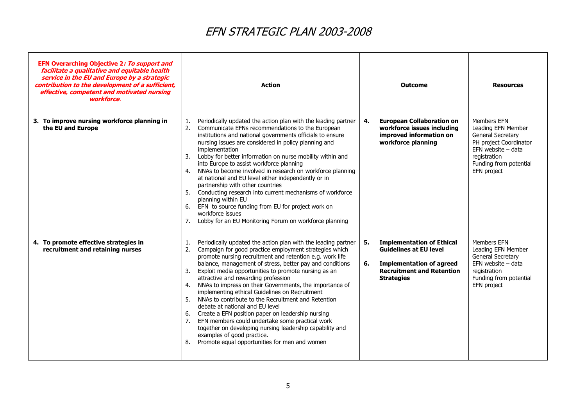| EFN Overarching Objective 2: To support and<br>facilitate a qualitative and equitable health<br>service in the EU and Europe by a strategic<br>contribution to the development of a sufficient,<br>effective, competent and motivated nursing<br>workforce. | <b>Action</b>                                                                                                                                                                                                                                                                                                                                                                                                                                                                                                                                                                                                                                                                                                                                                                                                                                            | <b>Outcome</b>                                                                                                                                                            | <b>Resources</b>                                                                                                                                                  |
|-------------------------------------------------------------------------------------------------------------------------------------------------------------------------------------------------------------------------------------------------------------|----------------------------------------------------------------------------------------------------------------------------------------------------------------------------------------------------------------------------------------------------------------------------------------------------------------------------------------------------------------------------------------------------------------------------------------------------------------------------------------------------------------------------------------------------------------------------------------------------------------------------------------------------------------------------------------------------------------------------------------------------------------------------------------------------------------------------------------------------------|---------------------------------------------------------------------------------------------------------------------------------------------------------------------------|-------------------------------------------------------------------------------------------------------------------------------------------------------------------|
| 3. To improve nursing workforce planning in<br>the EU and Europe                                                                                                                                                                                            | Periodically updated the action plan with the leading partner<br>1.<br>Communicate EFNs recommendations to the European<br>2.<br>institutions and national governments officials to ensure<br>nursing issues are considered in policy planning and<br>implementation<br>Lobby for better information on nurse mobility within and<br>3.<br>into Europe to assist workforce planning<br>NNAs to become involved in research on workforce planning<br>4.<br>at national and EU level either independently or in<br>partnership with other countries<br>Conducting research into current mechanisms of workforce<br>5.<br>planning within EU<br>6. EFN to source funding from EU for project work on<br>workforce issues<br>7.<br>Lobby for an EU Monitoring Forum on workforce planning                                                                    | <b>European Collaboration on</b><br>4.<br>workforce issues including<br>improved information on<br>workforce planning                                                     | Members EFN<br>Leading EFN Member<br>General Secretary<br>PH project Coordinator<br>EFN website $-$ data<br>registration<br>Funding from potential<br>EFN project |
| 4. To promote effective strategies in<br>recruitment and retaining nurses                                                                                                                                                                                   | Periodically updated the action plan with the leading partner<br>1.<br>2.<br>Campaign for good practice employment strategies which<br>promote nursing recruitment and retention e.g. work life<br>balance, management of stress, better pay and conditions<br>Exploit media opportunities to promote nursing as an<br>3.<br>attractive and rewarding profession<br>NNAs to impress on their Governments, the importance of<br>4.<br>implementing ethical Guidelines on Recruitment<br>5.<br>NNAs to contribute to the Recruitment and Retention<br>debate at national and EU level<br>Create a EFN position paper on leadership nursing<br>6.<br>EFN members could undertake some practical work<br>7.<br>together on developing nursing leadership capability and<br>examples of good practice.<br>8.<br>Promote equal opportunities for men and women | 5.<br><b>Implementation of Ethical</b><br><b>Guidelines at EU level</b><br>6.<br><b>Implementation of agreed</b><br><b>Recruitment and Retention</b><br><b>Strategies</b> | <b>Members EFN</b><br>Leading EFN Member<br>General Secretary<br>$EFN$ website $-$ data<br>registration<br>Funding from potential<br>EFN project                  |